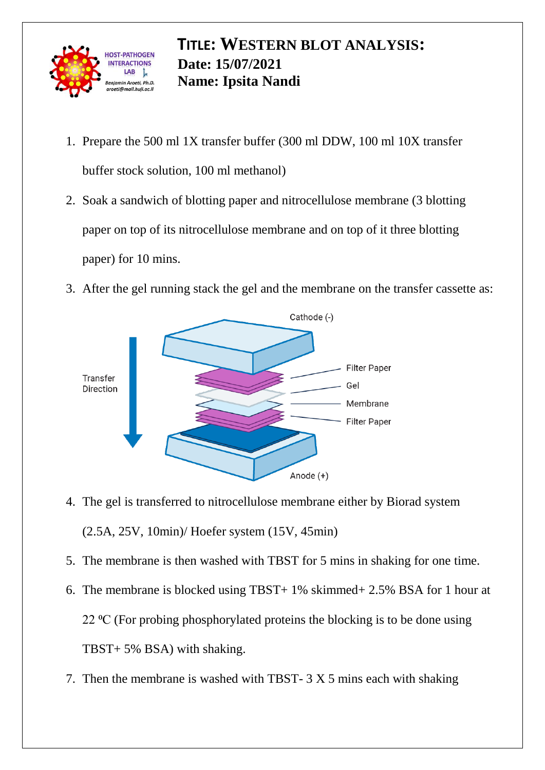

## **TITLE: WESTERN BLOT ANALYSIS: Date: 15/07/2021 Name: Ipsita Nandi**

- 1. Prepare the 500 ml 1X transfer buffer (300 ml DDW, 100 ml 10X transfer buffer stock solution, 100 ml methanol)
- 2. Soak a sandwich of blotting paper and nitrocellulose membrane (3 blotting paper on top of its nitrocellulose membrane and on top of it three blotting paper) for 10 mins.
- 3. After the gel running stack the gel and the membrane on the transfer cassette as:



- 4. The gel is transferred to nitrocellulose membrane either by Biorad system (2.5A, 25V, 10min)/ Hoefer system (15V, 45min)
- 5. The membrane is then washed with TBST for 5 mins in shaking for one time.
- 6. The membrane is blocked using TBST+ 1% skimmed+ 2.5% BSA for 1 hour at 22  $\rm{^{\circ}C}$  (For probing phosphorylated proteins the blocking is to be done using TBST+ 5% BSA) with shaking.
- 7. Then the membrane is washed with TBST- 3 X 5 mins each with shaking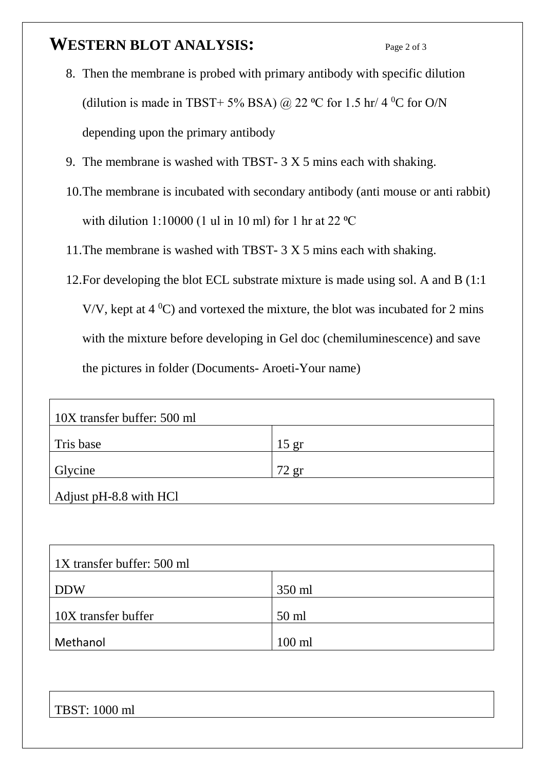## **WESTERN BLOT ANALYSIS:** Page 2 of 3

- 8. Then the membrane is probed with primary antibody with specific dilution (dilution is made in TBST+ 5% BSA) @ 22 °C for 1.5 hr/ 4 °C for O/N depending upon the primary antibody
- 9. The membrane is washed with TBST- 3 X 5 mins each with shaking.
- 10.The membrane is incubated with secondary antibody (anti mouse or anti rabbit) with dilution 1:10000 (1 ul in 10 ml) for 1 hr at 22  $^{\circ}$ C
- 11.The membrane is washed with TBST- 3 X 5 mins each with shaking.
- 12.For developing the blot ECL substrate mixture is made using sol. A and B (1:1 V/V, kept at  $4 \degree C$ ) and vortexed the mixture, the blot was incubated for 2 mins with the mixture before developing in Gel doc (chemiluminescence) and save the pictures in folder (Documents- Aroeti-Your name)

| 10X transfer buffer: 500 ml |         |  |
|-----------------------------|---------|--|
| Tris base                   | $15$ gr |  |
| Glycine                     | $72$ gr |  |
| Adjust pH-8.8 with HCl      |         |  |

| 1X transfer buffer: 500 ml |          |  |
|----------------------------|----------|--|
| <b>DDW</b>                 | 350 ml   |  |
| 10X transfer buffer        | $50$ ml  |  |
| Methanol                   | $100$ ml |  |

TBST: 1000 ml